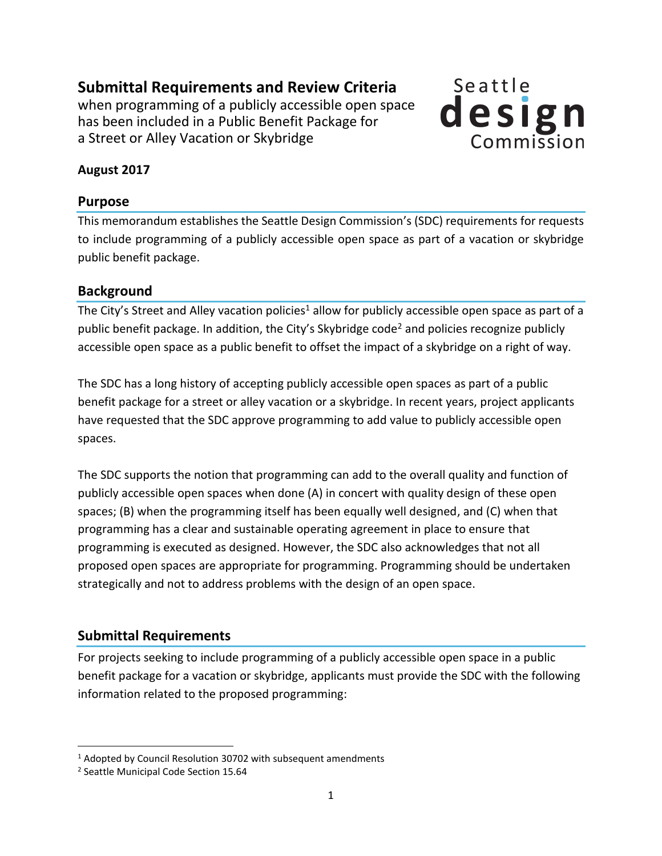**Submittal Requirements and Review Criteria**  when programming of a publicly accessible open space has been included in a Public Benefit Package for a Street or Alley Vacation or Skybridge



## **August 2017**

### **Purpose**

This memorandum establishes the Seattle Design Commission's (SDC) requirements for requests to include programming of a publicly accessible open space as part of a vacation or skybridge public benefit package.

### **Background**

The City's Street and Alley vacation policies<sup>1</sup> allow for publicly accessible open space as part of a public benefit package. In addition, the City's Skybridge code<sup>2</sup> and policies recognize publicly accessible open space as a public benefit to offset the impact of a skybridge on a right of way.

The SDC has a long history of accepting publicly accessible open spaces as part of a public benefit package for a street or alley vacation or a skybridge. In recent years, project applicants have requested that the SDC approve programming to add value to publicly accessible open spaces.

The SDC supports the notion that programming can add to the overall quality and function of publicly accessible open spaces when done (A) in concert with quality design of these open spaces; (B) when the programming itself has been equally well designed, and (C) when that programming has a clear and sustainable operating agreement in place to ensure that programming is executed as designed. However, the SDC also acknowledges that not all proposed open spaces are appropriate for programming. Programming should be undertaken strategically and not to address problems with the design of an open space.

# **Submittal Requirements**

For projects seeking to include programming of a publicly accessible open space in a public benefit package for a vacation or skybridge, applicants must provide the SDC with the following information related to the proposed programming:

 $\overline{\phantom{a}}$ 

<sup>&</sup>lt;sup>1</sup> Adopted by Council Resolution 30702 with subsequent amendments

<sup>&</sup>lt;sup>2</sup> Seattle Municipal Code Section 15.64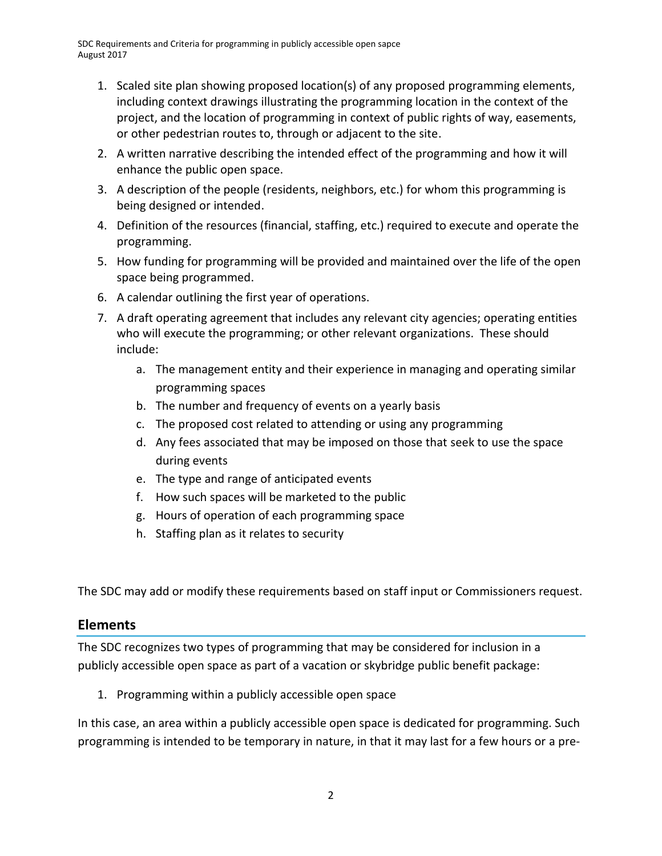SDC Requirements and Criteria for programming in publicly accessible open sapce August 2017

- 1. Scaled site plan showing proposed location(s) of any proposed programming elements, including context drawings illustrating the programming location in the context of the project, and the location of programming in context of public rights of way, easements, or other pedestrian routes to, through or adjacent to the site.
- 2. A written narrative describing the intended effect of the programming and how it will enhance the public open space.
- 3. A description of the people (residents, neighbors, etc.) for whom this programming is being designed or intended.
- 4. Definition of the resources (financial, staffing, etc.) required to execute and operate the programming.
- 5. How funding for programming will be provided and maintained over the life of the open space being programmed.
- 6. A calendar outlining the first year of operations.
- 7. A draft operating agreement that includes any relevant city agencies; operating entities who will execute the programming; or other relevant organizations. These should include:
	- a. The management entity and their experience in managing and operating similar programming spaces
	- b. The number and frequency of events on a yearly basis
	- c. The proposed cost related to attending or using any programming
	- d. Any fees associated that may be imposed on those that seek to use the space during events
	- e. The type and range of anticipated events
	- f. How such spaces will be marketed to the public
	- g. Hours of operation of each programming space
	- h. Staffing plan as it relates to security

The SDC may add or modify these requirements based on staff input or Commissioners request.

### **Elements**

The SDC recognizes two types of programming that may be considered for inclusion in a publicly accessible open space as part of a vacation or skybridge public benefit package:

1. Programming within a publicly accessible open space

In this case, an area within a publicly accessible open space is dedicated for programming. Such programming is intended to be temporary in nature, in that it may last for a few hours or a pre